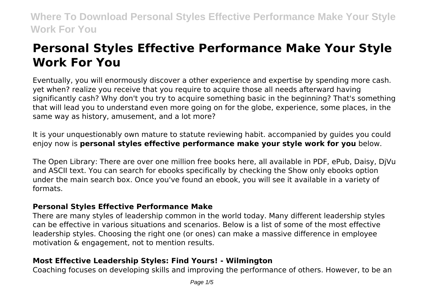# **Personal Styles Effective Performance Make Your Style Work For You**

Eventually, you will enormously discover a other experience and expertise by spending more cash. yet when? realize you receive that you require to acquire those all needs afterward having significantly cash? Why don't you try to acquire something basic in the beginning? That's something that will lead you to understand even more going on for the globe, experience, some places, in the same way as history, amusement, and a lot more?

It is your unquestionably own mature to statute reviewing habit. accompanied by guides you could enjoy now is **personal styles effective performance make your style work for you** below.

The Open Library: There are over one million free books here, all available in PDF, ePub, Daisy, DjVu and ASCII text. You can search for ebooks specifically by checking the Show only ebooks option under the main search box. Once you've found an ebook, you will see it available in a variety of formats.

#### **Personal Styles Effective Performance Make**

There are many styles of leadership common in the world today. Many different leadership styles can be effective in various situations and scenarios. Below is a list of some of the most effective leadership styles. Choosing the right one (or ones) can make a massive difference in employee motivation & engagement, not to mention results.

#### **Most Effective Leadership Styles: Find Yours! - Wilmington**

Coaching focuses on developing skills and improving the performance of others. However, to be an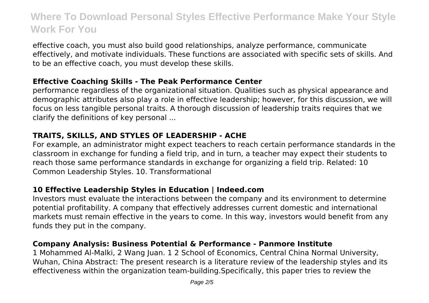effective coach, you must also build good relationships, analyze performance, communicate effectively, and motivate individuals. These functions are associated with specific sets of skills. And to be an effective coach, you must develop these skills.

#### **Effective Coaching Skills - The Peak Performance Center**

performance regardless of the organizational situation. Qualities such as physical appearance and demographic attributes also play a role in effective leadership; however, for this discussion, we will focus on less tangible personal traits. A thorough discussion of leadership traits requires that we clarify the definitions of key personal ...

## **TRAITS, SKILLS, AND STYLES OF LEADERSHIP - ACHE**

For example, an administrator might expect teachers to reach certain performance standards in the classroom in exchange for funding a field trip, and in turn, a teacher may expect their students to reach those same performance standards in exchange for organizing a field trip. Related: 10 Common Leadership Styles. 10. Transformational

### **10 Effective Leadership Styles in Education | Indeed.com**

Investors must evaluate the interactions between the company and its environment to determine potential profitability. A company that effectively addresses current domestic and international markets must remain effective in the years to come. In this way, investors would benefit from any funds they put in the company.

#### **Company Analysis: Business Potential & Performance - Panmore Institute**

1 Mohammed Al-Malki, 2 Wang Juan. 1 2 School of Economics, Central China Normal University, Wuhan, China Abstract: The present research is a literature review of the leadership styles and its effectiveness within the organization team-building.Specifically, this paper tries to review the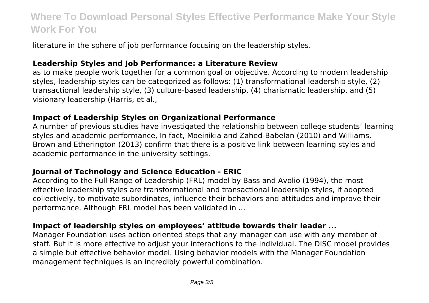literature in the sphere of job performance focusing on the leadership styles.

#### **Leadership Styles and Job Performance: a Literature Review**

as to make people work together for a common goal or objective. According to modern leadership styles, leadership styles can be categorized as follows: (1) transformational leadership style, (2) transactional leadership style, (3) culture-based leadership, (4) charismatic leadership, and (5) visionary leadership (Harris, et al.,

#### **Impact of Leadership Styles on Organizational Performance**

A number of previous studies have investigated the relationship between college students' learning styles and academic performance, In fact, Moeinikia and Zahed-Babelan (2010) and Williams, Brown and Etherington (2013) confirm that there is a positive link between learning styles and academic performance in the university settings.

#### **Journal of Technology and Science Education - ERIC**

According to the Full Range of Leadership (FRL) model by Bass and Avolio (1994), the most effective leadership styles are transformational and transactional leadership styles, if adopted collectively, to motivate subordinates, influence their behaviors and attitudes and improve their performance. Although FRL model has been validated in ...

#### **Impact of leadership styles on employees' attitude towards their leader ...**

Manager Foundation uses action oriented steps that any manager can use with any member of staff. But it is more effective to adjust your interactions to the individual. The DISC model provides a simple but effective behavior model. Using behavior models with the Manager Foundation management techniques is an incredibly powerful combination.